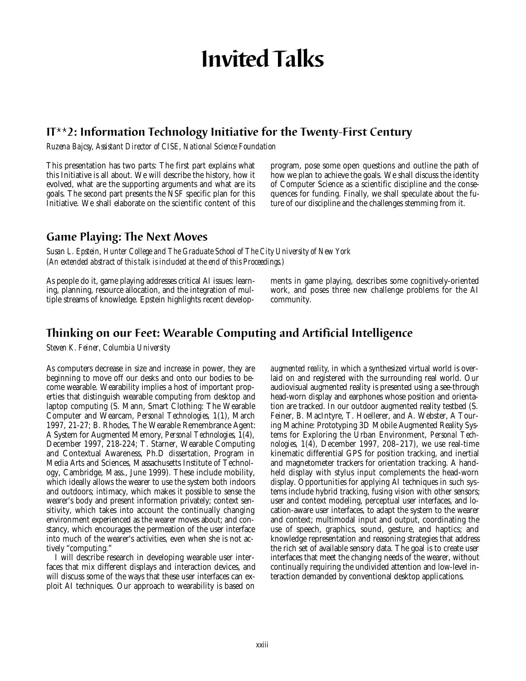# **Invited Talks**

# **IT\*\*2: Information Technology Initiative for the Twenty-First Century**

*Ruzena Bajcsy, Assistant Director of CISE, National Science Foundation*

This presentation has two parts: The first part explains what this Initiative is all about. We will describe the history, how it evolved, what are the supporting arguments and what are its goals. The second part presents the NSF specific plan for this Initiative. We shall elaborate on the scientific content of this program, pose some open questions and outline the path of how we plan to achieve the goals. We shall discuss the identity of Computer Science as a scientific discipline and the consequences for funding. Finally, we shall speculate about the future of our discipline and the challenges stemming from it.

# **Game Playing: The Next Moves**

*Susan L. Epstein, Hunter College and The Graduate School of The City University of New York (An extended abstract of this talk is included at the end of this Proceedings.)*

As people do it, game playing addresses critical AI issues: learning, planning, resource allocation, and the integration of multiple streams of knowledge. Epstein highlights recent developments in game playing, describes some cognitively-oriented work, and poses three new challenge problems for the AI community.

# **Thinking on our Feet: Wearable Computing and Artificial Intelligence**

*Steven K. Feiner, Columbia University*

As computers decrease in size and increase in power, they are beginning to move off our desks and onto our bodies to become wearable. Wearability implies a host of important properties that distinguish wearable computing from desktop and laptop computing (S. Mann, Smart Clothing: The Wearable Computer and Wearcam, *Personal Technologies,* 1(1), March 1997, 21-27; B. Rhodes, The Wearable Remembrance Agent: A System for Augmented Memory, *Personal Technologies,* 1(4), December 1997, 218-224; T. Starner, Wearable Computing and Contextual Awareness, Ph.D dissertation, Program in Media Arts and Sciences, Massachusetts Institute of Technology, Cambridge, Mass., June 1999). These include mobility, which ideally allows the wearer to use the system both indoors and outdoors; intimacy, which makes it possible to sense the wearer's body and present information privately; context sensitivity, which takes into account the continually changing environment experienced as the wearer moves about; and constancy, which encourages the permeation of the user interface into much of the wearer's activities, even when she is not actively "computing."

I will describe research in developing wearable user interfaces that mix different displays and interaction devices, and will discuss some of the ways that these user interfaces can exploit AI techniques. Our approach to wearability is based on *augmented reality,* in which a synthesized virtual world is overlaid on and registered with the surrounding real world. Our audiovisual augmented reality is presented using a see-through head-worn display and earphones whose position and orientation are tracked. In our outdoor augmented reality testbed (S. Feiner, B. MacIntyre, T. Hoellerer, and A. Webster, A Touring Machine: Prototyping 3D Mobile Augmented Reality Systems for Exploring the Urban Environment, *Personal Technologies,* 1(4), December 1997, 208–217), we use real-time kinematic differential GPS for position tracking, and inertial and magnetometer trackers for orientation tracking. A handheld display with stylus input complements the head-worn display. Opportunities for applying AI techniques in such systems include hybrid tracking, fusing vision with other sensors; user and context modeling, perceptual user interfaces, and location-aware user interfaces, to adapt the system to the wearer and context; multimodal input and output, coordinating the use of speech, graphics, sound, gesture, and haptics; and knowledge representation and reasoning strategies that address the rich set of available sensory data. The goal is to create user interfaces that meet the changing needs of the wearer, without continually requiring the undivided attention and low-level interaction demanded by conventional desktop applications.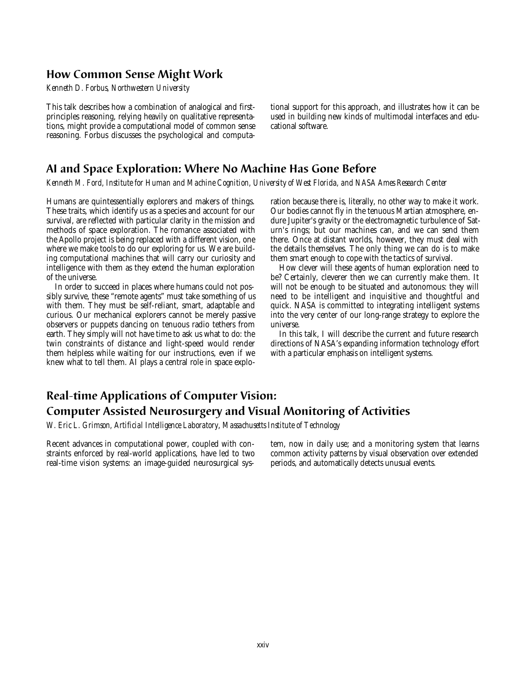## **How Common Sense Might Work**

*Kenneth D. Forbus, Northwestern University*

This talk describes how a combination of analogical and firstprinciples reasoning, relying heavily on qualitative representations, might provide a computational model of common sense reasoning. Forbus discusses the psychological and computational support for this approach, and illustrates how it can be used in building new kinds of multimodal interfaces and educational software.

## **AI and Space Exploration: Where No Machine Has Gone Before**

*Kenneth M. Ford, Institute for Human and Machine Cognition, University of West Florida, and NASA Ames Research Center*

Humans are quintessentially explorers and makers of things. These traits, which identify us as a species and account for our survival, are reflected with particular clarity in the mission and methods of space exploration. The romance associated with the Apollo project is being replaced with a different vision, one where we make tools to do our exploring for us. We are building computational machines that will carry our curiosity and intelligence with them as they extend the human exploration of the universe.

In order to succeed in places where humans could not possibly survive, these "remote agents" must take something of us with them. They must be self-reliant, smart, adaptable and curious. Our mechanical explorers cannot be merely passive observers or puppets dancing on tenuous radio tethers from earth. They simply will not have time to ask us what to do: the twin constraints of distance and light-speed would render them helpless while waiting for our instructions, even if we knew what to tell them. AI plays a central role in space exploration because there is, literally, no other way to make it work. Our bodies cannot fly in the tenuous Martian atmosphere, endure Jupiter's gravity or the electromagnetic turbulence of Saturn's rings; but our machines can, and we can send them there. Once at distant worlds, however, they must deal with the details themselves. The only thing we can do is to make them smart enough to cope with the tactics of survival.

How clever will these agents of human exploration need to be? Certainly, cleverer then we can currently make them. It will not be enough to be situated and autonomous: they will need to be intelligent and inquisitive and thoughtful and quick. NASA is committed to integrating intelligent systems into the very center of our long-range strategy to explore the universe.

In this talk, I will describe the current and future research directions of NASA's expanding information technology effort with a particular emphasis on intelligent systems.

# **Real-time Applications of Computer Vision: Computer Assisted Neurosurgery and Visual Monitoring of Activities**

*W. Eric L. Grimson, Artificial Intelligence Laboratory*, *Massachusetts Institute of Technology*

Recent advances in computational power, coupled with constraints enforced by real-world applications, have led to two real-time vision systems: an image-guided neurosurgical system, now in daily use; and a monitoring system that learns common activity patterns by visual observation over extended periods, and automatically detects unusual events.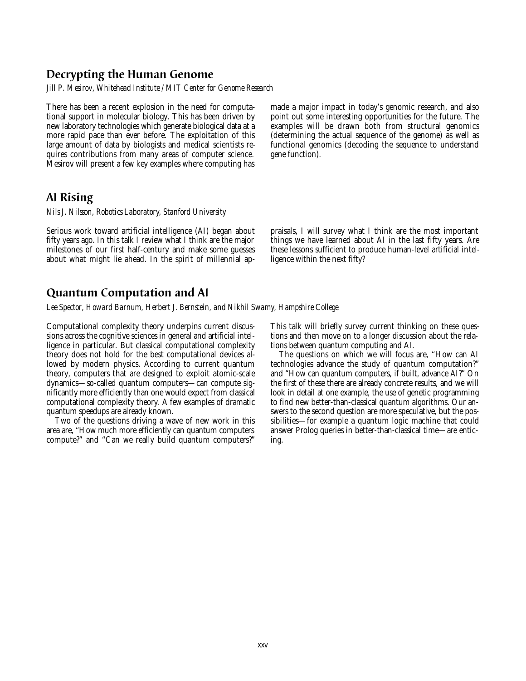## **Decrypting the Human Genome**

*Jill P. Mesirov, Whitehead Institute / MIT Center for Genome Research*

There has been a recent explosion in the need for computational support in molecular biology. This has been driven by new laboratory technologies which generate biological data at a more rapid pace than ever before. The exploitation of this large amount of data by biologists and medical scientists requires contributions from many areas of computer science. Mesirov will present a few key examples where computing has made a major impact in today's genomic research, and also point out some interesting opportunities for the future. The examples will be drawn both from structural genomics (determining the actual sequence of the genome) as well as functional genomics (decoding the sequence to understand gene function).

#### **AI Rising**

*Nils J. Nilsson, Robotics Laboratory, Stanford University*

Serious work toward artificial intelligence (AI) began about fifty years ago. In this talk I review what I think are the major milestones of our first half-century and make some guesses about what might lie ahead. In the spirit of millennial appraisals, I will survey what I think are the most important things we have learned about AI in the last fifty years. Are these lessons sufficient to produce human-level artificial intelligence within the next fifty?

## **Quantum Computation and AI**

*Lee Spector, Howard Barnum, Herbert J. Bernstein, and Nikhil Swamy, Hampshire College*

Computational complexity theory underpins current discussions across the cognitive sciences in general and artificial intelligence in particular. But classical computational complexity theory does not hold for the best computational devices allowed by modern physics. According to current quantum theory, computers that are designed to exploit atomic-scale dynamics—so-called quantum computers—can compute significantly more efficiently than one would expect from classical computational complexity theory. A few examples of dramatic quantum speedups are already known.

Two of the questions driving a wave of new work in this area are, "How much more efficiently can quantum computers compute?" and "Can we really build quantum computers?"

This talk will briefly survey current thinking on these questions and then move on to a longer discussion about the relations between quantum computing and AI.

The questions on which we will focus are, "How can AI technologies advance the study of quantum computation?" and "How can quantum computers, if built, advance AI?" On the first of these there are already concrete results, and we will look in detail at one example, the use of genetic programming to find new better-than-classical quantum algorithms. Our answers to the second question are more speculative, but the possibilities—for example a quantum logic machine that could answer Prolog queries in better-than-classical time—are enticing.